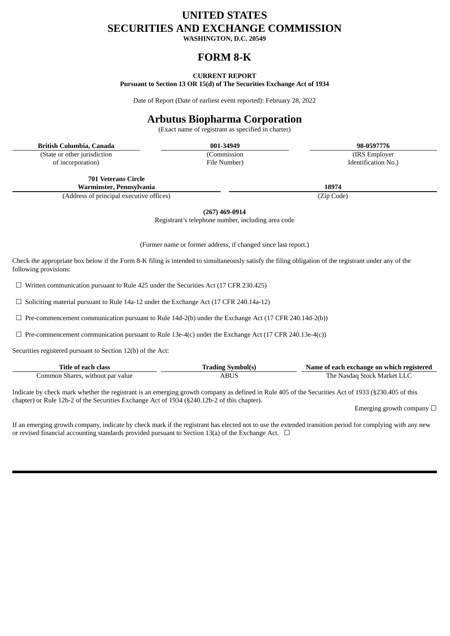# **UNITED STATES SECURITIES AND EXCHANGE COMMISSION**

**WASHINGTON, D.C. 20549**

# **FORM 8-K**

**CURRENT REPORT Pursuant to Section 13 OR 15(d) of The Securities Exchange Act of 1934**

Date of Report (Date of earliest event reported): February 28, 2022

# **Arbutus Biopharma Corporation**

(Exact name of registrant as specified in charter)

**British Columbia, Canada 001-34949 98-0597776**

(State or other jurisdiction of incorporation)

(Commission File Number)

(IRS Employer Identification No.)

**701 Veterans Circle Warminster, Pennsylvania 18974**

(Address of principal executive offices) (Zip Code)

**(267) 469-0914**

Registrant's telephone number, including area code

(Former name or former address, if changed since last report.)

Check the appropriate box below if the Form 8-K filing is intended to simultaneously satisfy the filing obligation of the registrant under any of the following provisions:

 $\Box$  Written communication pursuant to Rule 425 under the Securities Act (17 CFR 230.425)

 $\Box$  Soliciting material pursuant to Rule 14a-12 under the Exchange Act (17 CFR 240.14a-12)

 $\Box$  Pre-commencement communication pursuant to Rule 14d-2(b) under the Exchange Act (17 CFR 240.14d-2(b))

 $\Box$  Pre-commencement communication pursuant to Rule 13e-4(c) under the Exchange Act (17 CFR 240.13e-4(c))

Securities registered pursuant to Section 12(b) of the Act:

| Title of each class               | trading Symbol(s) | Name of each exchange on which registered |
|-----------------------------------|-------------------|-------------------------------------------|
| Common Shares, without par value. | ABUS              | The Nasdag Stock Market LLC               |

Indicate by check mark whether the registrant is an emerging growth company as defined in Rule 405 of the Securities Act of 1933 (§230.405 of this chapter) or Rule 12b-2 of the Securities Exchange Act of 1934 (§240.12b-2 of this chapter).

Emerging growth company  $\Box$ 

If an emerging growth company, indicate by check mark if the registrant has elected not to use the extended transition period for complying with any new or revised financial accounting standards provided pursuant to Section 13(a) of the Exchange Act.  $\Box$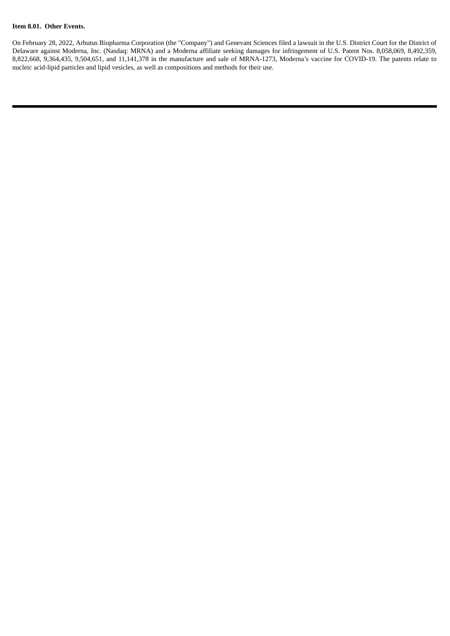#### **Item 8.01. Other Events.**

On February 28, 2022, Arbutus Biopharma Corporation (the "Company") and Genevant Sciences filed a lawsuit in the U.S. District Court for the District of Delaware against Moderna, Inc. (Nasdaq: MRNA) and a Moderna affiliate seeking damages for infringement of U.S. Patent Nos. 8,058,069, 8,492,359, 8,822,668, 9,364,435, 9,504,651, and 11,141,378 in the manufacture and sale of MRNA-1273, Moderna's vaccine for COVID-19. The patents relate to nucleic acid-lipid particles and lipid vesicles, as well as compositions and methods for their use.